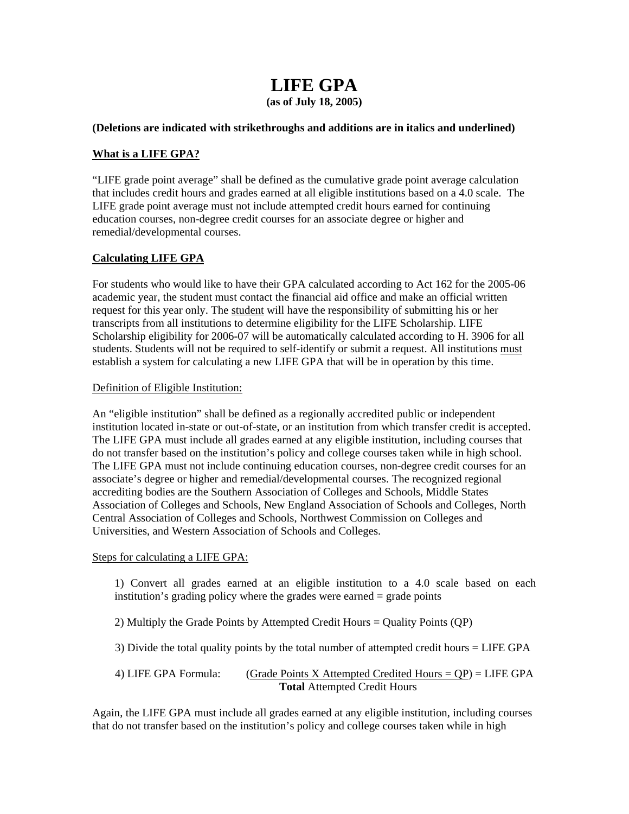# **LIFE GPA**

**(as of July 18, 2005)** 

## **(Deletions are indicated with strikethroughs and additions are in italics and underlined)**

# **What is a LIFE GPA?**

"LIFE grade point average" shall be defined as the cumulative grade point average calculation that includes credit hours and grades earned at all eligible institutions based on a 4.0 scale. The LIFE grade point average must not include attempted credit hours earned for continuing education courses, non-degree credit courses for an associate degree or higher and remedial/developmental courses.

# **Calculating LIFE GPA**

For students who would like to have their GPA calculated according to Act 162 for the 2005-06 academic year, the student must contact the financial aid office and make an official written request for this year only. The student will have the responsibility of submitting his or her transcripts from all institutions to determine eligibility for the LIFE Scholarship. LIFE Scholarship eligibility for 2006-07 will be automatically calculated according to H. 3906 for all students. Students will not be required to self-identify or submit a request. All institutions must establish a system for calculating a new LIFE GPA that will be in operation by this time.

### Definition of Eligible Institution:

An "eligible institution" shall be defined as a regionally accredited public or independent institution located in-state or out-of-state, or an institution from which transfer credit is accepted. The LIFE GPA must include all grades earned at any eligible institution, including courses that do not transfer based on the institution's policy and college courses taken while in high school. The LIFE GPA must not include continuing education courses, non-degree credit courses for an associate's degree or higher and remedial/developmental courses. The recognized regional accrediting bodies are the Southern Association of Colleges and Schools, Middle States Association of Colleges and Schools, New England Association of Schools and Colleges, North Central Association of Colleges and Schools, Northwest Commission on Colleges and Universities, and Western Association of Schools and Colleges.

#### Steps for calculating a LIFE GPA:

1) Convert all grades earned at an eligible institution to a 4.0 scale based on each institution's grading policy where the grades were earned = grade points

- 2) Multiply the Grade Points by Attempted Credit Hours = Quality Points (QP)
- 3) Divide the total quality points by the total number of attempted credit hours = LIFE GPA
- 4) LIFE GPA Formula: (Grade Points X Attempted Credited Hours =  $QP$ ) = LIFE GPA **Total** Attempted Credit Hours

Again, the LIFE GPA must include all grades earned at any eligible institution, including courses that do not transfer based on the institution's policy and college courses taken while in high